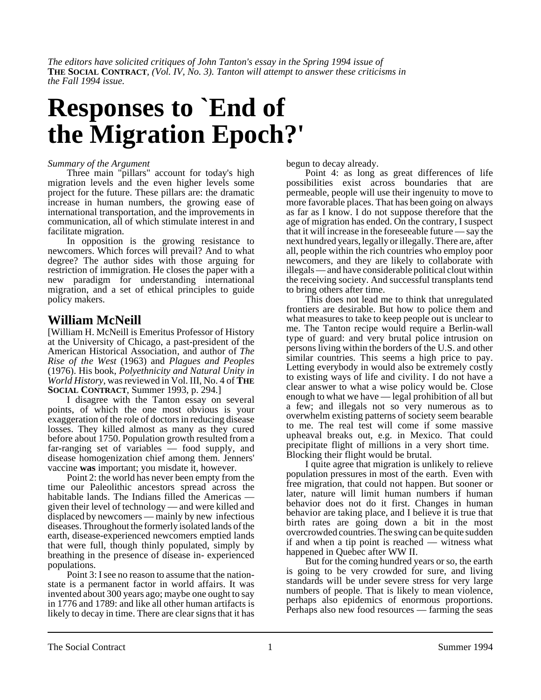*The editors have solicited critiques of John Tanton's essay in the Spring 1994 issue of* **THE SOCIAL CONTRACT***, (Vol. IV, No. 3). Tanton will attempt to answer these criticisms in the Fall 1994 issue.*

# **Responses to `End of the Migration Epoch?'**

#### *Summary of the Argument*

Three main "pillars" account for today's high migration levels and the even higher levels some project for the future. These pillars are: the dramatic increase in human numbers, the growing ease of international transportation, and the improvements in communication, all of which stimulate interest in and facilitate migration.

In opposition is the growing resistance to newcomers. Which forces will prevail? And to what degree? The author sides with those arguing for restriction of immigration. He closes the paper with a new paradigm for understanding international migration, and a set of ethical principles to guide policy makers.

## **William McNeill**

[William H. McNeill is Emeritus Professor of History at the University of Chicago, a past-president of the American Historical Association, and author of *The Rise of the West* (1963) and *Plagues and Peoples* (1976). His book, *Polyethnicity and Natural Unity in World History*, was reviewed in Vol. III, No. 4 of **THE SOCIAL CONTRACT**, Summer 1993, p. 294.]

I disagree with the Tanton essay on several points, of which the one most obvious is your exaggeration of the role of doctors in reducing disease losses. They killed almost as many as they cured before about 1750. Population growth resulted from a far-ranging set of variables — food supply, and disease homogenization chief among them. Jenners' vaccine **was** important; you misdate it, however.

Point 2: the world has never been empty from the time our Paleolithic ancestors spread across the habitable lands. The Indians filled the Americas given their level of technology — and were killed and displaced by newcomers — mainly by new infectious diseases. Throughout the formerly isolated lands of the earth, disease-experienced newcomers emptied lands that were full, though thinly populated, simply by breathing in the presence of disease in- experienced populations.

Point 3: I see no reason to assume that the nationstate is a permanent factor in world affairs. It was invented about 300 years ago; maybe one ought to say in 1776 and 1789: and like all other human artifacts is likely to decay in time. There are clear signs that it has begun to decay already.

Point 4: as long as great differences of life possibilities exist across boundaries that are permeable, people will use their ingenuity to move to more favorable places. That has been going on always as far as I know. I do not suppose therefore that the age of migration has ended. On the contrary, I suspect that it will increase in the foreseeable future — say the next hundred years, legally or illegally. There are, after all, people within the rich countries who employ poor newcomers, and they are likely to collaborate with illegals — and have considerable political clout within the receiving society. And successful transplants tend to bring others after time.

This does not lead me to think that unregulated frontiers are desirable. But how to police them and what measures to take to keep people out is unclear to me. The Tanton recipe would require a Berlin-wall type of guard: and very brutal police intrusion on persons living within the borders of the U.S. and other similar countries. This seems a high price to pay. Letting everybody in would also be extremely costly to existing ways of life and civility. I do not have a clear answer to what a wise policy would be. Close enough to what we have — legal prohibition of all but a few; and illegals not so very numerous as to overwhelm existing patterns of society seem bearable to me. The real test will come if some massive upheaval breaks out, e.g. in Mexico. That could precipitate flight of millions in a very short time. Blocking their flight would be brutal.

I quite agree that migration is unlikely to relieve population pressures in most of the earth. Even with free migration, that could not happen. But sooner or later, nature will limit human numbers if human behavior does not do it first. Changes in human behavior are taking place, and I believe it is true that birth rates are going down a bit in the most overcrowded countries. The swing can be quite sudden if and when a tip point is reached — witness what happened in Quebec after WW II.

But for the coming hundred years or so, the earth is going to be very crowded for sure, and living standards will be under severe stress for very large numbers of people. That is likely to mean violence, perhaps also epidemics of enormous proportions. Perhaps also new food resources — farming the seas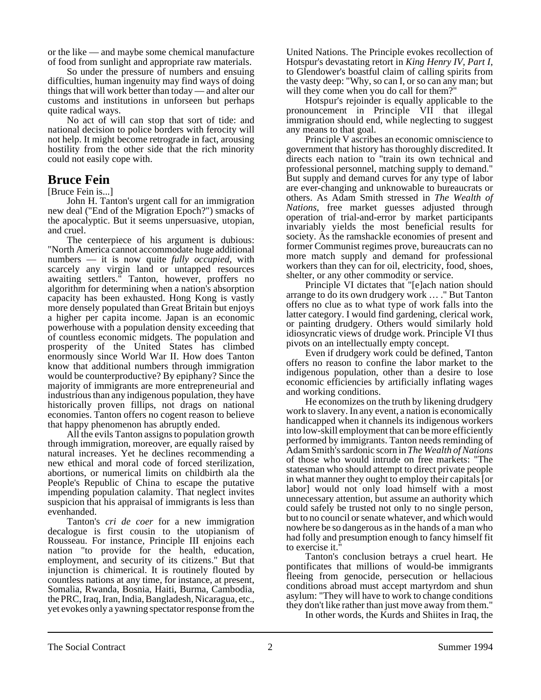or the like — and maybe some chemical manufacture of food from sunlight and appropriate raw materials.

So under the pressure of numbers and ensuing difficulties, human ingenuity may find ways of doing things that will work better than today — and alter our customs and institutions in unforseen but perhaps quite radical ways.

No act of will can stop that sort of tide: and national decision to police borders with ferocity will not help. It might become retrograde in fact, arousing hostility from the other side that the rich minority could not easily cope with.

## **Bruce Fein**

[Bruce Fein is...]

John H. Tanton's urgent call for an immigration new deal ("End of the Migration Epoch?") smacks of the apocalyptic. But it seems unpersuasive, utopian, and cruel.

The centerpiece of his argument is dubious: "North America cannot accommodate huge additional numbers — it is now quite *fully occupied*, with scarcely any virgin land or untapped resources awaiting settlers." Tanton, however, proffers no algorithm for determining when a nation's absorption capacity has been exhausted. Hong Kong is vastly more densely populated than Great Britain but enjoys a higher per capita income. Japan is an economic powerhouse with a population density exceeding that of countless economic midgets. The population and prosperity of the United States has climbed enormously since World War II. How does Tanton know that additional numbers through immigration would be counterproductive? By epiphany? Since the majority of immigrants are more entrepreneurial and industrious than any indigenous population, they have historically proven fillips, not drags on national economies. Tanton offers no cogent reason to believe that happy phenomenon has abruptly ended.

All the evils Tanton assigns to population growth through immigration, moreover, are equally raised by natural increases. Yet he declines recommending a new ethical and moral code of forced sterilization, abortions, or numerical limits on childbirth ala the People's Republic of China to escape the putative impending population calamity. That neglect invites suspicion that his appraisal of immigrants is less than evenhanded.

Tanton's *cri de coer* for a new immigration decalogue is first cousin to the utopianism of Rousseau. For instance, Principle III enjoins each nation "to provide for the health, education, employment, and security of its citizens." But that injunction is chimerical. It is routinely flouted by countless nations at any time, for instance, at present, Somalia, Rwanda, Bosnia, Haiti, Burma, Cambodia, the PRC, Iraq, Iran, India, Bangladesh, Nicaragua, etc., yet evokes only a yawning spectator response from the United Nations. The Principle evokes recollection of Hotspur's devastating retort in *King Henry IV, Part I*, to Glendower's boastful claim of calling spirits from the vasty deep: "Why, so can I, or so can any man; but will they come when you do call for them?"

Hotspur's rejoinder is equally applicable to the pronouncement in Principle VII that illegal immigration should end, while neglecting to suggest any means to that goal.

Principle V ascribes an economic omniscience to government that history has thoroughly discredited. It directs each nation to "train its own technical and professional personnel, matching supply to demand." But supply and demand curves for any type of labor are ever-changing and unknowable to bureaucrats or others. As Adam Smith stressed in *The Wealth of Nations*, free market guesses adjusted through operation of trial-and-error by market participants invariably yields the most beneficial results for society. As the ramshackle economies of present and former Communist regimes prove, bureaucrats can no more match supply and demand for professional workers than they can for oil, electricity, food, shoes, shelter, or any other commodity or service.

Principle VI dictates that "[e]ach nation should arrange to do its own drudgery work … ." But Tanton offers no clue as to what type of work falls into the latter category. I would find gardening, clerical work, or painting drudgery. Others would similarly hold idiosyncratic views of drudge work. Principle VI thus pivots on an intellectually empty concept.

Even if drudgery work could be defined, Tanton offers no reason to confine the labor market to the indigenous population, other than a desire to lose economic efficiencies by artificially inflating wages and working conditions.

He economizes on the truth by likening drudgery work to slavery. In any event, a nation is economically handicapped when it channels its indigenous workers into low-skill employment that can be more efficiently performed by immigrants. Tanton needs reminding of Adam Smith's sardonic scorn in *The Wealth of Nations* of those who would intrude on free markets: "The statesman who should attempt to direct private people in what manner they ought to employ their capitals [or labor] would not only load himself with a most unnecessary attention, but assume an authority which could safely be trusted not only to no single person, but to no council or senate whatever, and which would nowhere be so dangerous as in the hands of a man who had folly and presumption enough to fancy himself fit to exercise it."

Tanton's conclusion betrays a cruel heart. He pontificates that millions of would-be immigrants fleeing from genocide, persecution or hellacious conditions abroad must accept martyrdom and shun asylum: "They will have to work to change conditions they don't like rather than just move away from them."

In other words, the Kurds and Shiites in Iraq, the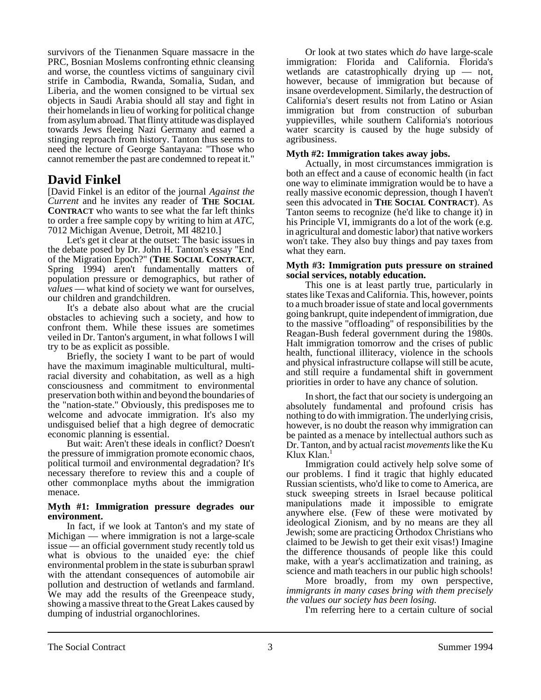survivors of the Tienanmen Square massacre in the PRC, Bosnian Moslems confronting ethnic cleansing and worse, the countless victims of sanguinary civil strife in Cambodia, Rwanda, Somalia, Sudan, and Liberia, and the women consigned to be virtual sex objects in Saudi Arabia should all stay and fight in their homelands in lieu of working for political change from asylum abroad. That flinty attitude was displayed towards Jews fleeing Nazi Germany and earned a stinging reproach from history. Tanton thus seems to need the lecture of George Santayana: "Those who cannot remember the past are condemned to repeat it."

## **David Finkel**

[David Finkel is an editor of the journal *Against the Current* and he invites any reader of **THE SOCIAL CONTRACT** who wants to see what the far left thinks to order a free sample copy by writing to him at *ATC*, 7012 Michigan Avenue, Detroit, MI 48210.]

Let's get it clear at the outset: The basic issues in the debate posed by Dr. John H. Tanton's essay "End of the Migration Epoch?" (**THE SOCIAL CONTRACT**, Spring 1994) aren't fundamentally matters of population pressure or demographics, but rather of *values* — what kind of society we want for ourselves, our children and grandchildren.

It's a debate also about what are the crucial obstacles to achieving such a society, and how to confront them. While these issues are sometimes veiled in Dr. Tanton's argument, in what follows I will try to be as explicit as possible.

Briefly, the society I want to be part of would have the maximum imaginable multicultural, multiracial diversity and cohabitation, as well as a high consciousness and commitment to environmental preservation both within and beyond the boundaries of the "nation-state." Obviously, this predisposes me to welcome and advocate immigration. It's also my undisguised belief that a high degree of democratic economic planning is essential.

But wait: Aren't these ideals in conflict? Doesn't the pressure of immigration promote economic chaos, political turmoil and environmental degradation? It's necessary therefore to review this and a couple of other commonplace myths about the immigration menace.

#### **Myth #1: Immigration pressure degrades our environment.**

In fact, if we look at Tanton's and my state of Michigan — where immigration is not a large-scale issue — an official government study recently told us what is obvious to the unaided eye: the chief environmental problem in the state is suburban sprawl with the attendant consequences of automobile air pollution and destruction of wetlands and farmland. We may add the results of the Greenpeace study, showing a massive threat to the Great Lakes caused by dumping of industrial organochlorines.

Or look at two states which *do* have large-scale immigration: Florida and California. Florida's wetlands are catastrophically drying up — not, however, because of immigration but because of insane overdevelopment. Similarly, the destruction of California's desert results not from Latino or Asian immigration but from construction of suburban yuppievilles, while southern California's notorious water scarcity is caused by the huge subsidy of agribusiness.

### **Myth #2: Immigration takes away jobs.**

Actually, in most circumstances immigration is both an effect and a cause of economic health (in fact one way to eliminate immigration would be to have a really massive economic depression, though I haven't seen this advocated in **THE SOCIAL CONTRACT**). As Tanton seems to recognize (he'd like to change it) in his Principle VI, immigrants do a lot of the work (e.g. in agricultural and domestic labor) that native workers won't take. They also buy things and pay taxes from what they earn.

#### **Myth #3: Immigration puts pressure on strained social services, notably education.**

This one is at least partly true, particularly in states like Texas and California. This, however, points to a much broader issue of state and local governments going bankrupt, quite independent of immigration, due to the massive "offloading" of responsibilities by the Reagan-Bush federal government during the 1980s. Halt immigration tomorrow and the crises of public health, functional illiteracy, violence in the schools and physical infrastructure collapse will still be acute, and still require a fundamental shift in government priorities in order to have any chance of solution.

In short, the fact that our society is undergoing an absolutely fundamental and profound crisis has nothing to do with immigration. The underlying crisis, however, is no doubt the reason why immigration can be painted as a menace by intellectual authors such as Dr. Tanton, and by actual racist *movements* like the Ku Klux Klan.<sup>1</sup>

Immigration could actively help solve some of our problems. I find it tragic that highly educated Russian scientists, who'd like to come to America, are stuck sweeping streets in Israel because political manipulations made it impossible to emigrate anywhere else. (Few of these were motivated by ideological Zionism, and by no means are they all Jewish; some are practicing Orthodox Christians who claimed to be Jewish to get their exit visas!) Imagine the difference thousands of people like this could make, with a year's acclimatization and training, as science and math teachers in our public high schools!

More broadly, from my own perspective, *immigrants in many cases bring with them precisely the values our society has been losing.*

I'm referring here to a certain culture of social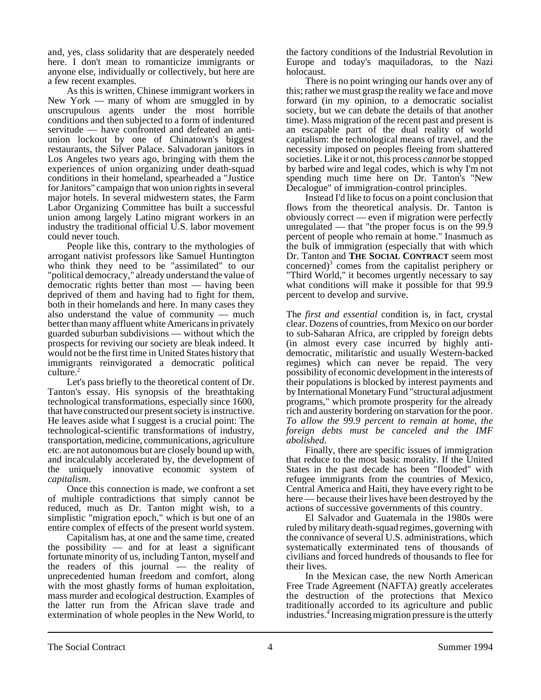and, yes, class solidarity that are desperately needed here. I don't mean to romanticize immigrants or anyone else, individually or collectively, but here are a few recent examples.

As this is written, Chinese immigrant workers in New York — many of whom are smuggled in by unscrupulous agents under the most horrible conditions and then subjected to a form of indentured servitude — have confronted and defeated an antiunion lockout by one of Chinatown's biggest restaurants, the Silver Palace. Salvadoran janitors in Los Angeles two years ago, bringing with them the experiences of union organizing under death-squad conditions in their homeland, spearheaded a "Justice for Janitors" campaign that won union rights in several major hotels. In several midwestern states, the Farm Labor Organizing Committee has built a successful union among largely Latino migrant workers in an industry the traditional official U.S. labor movement could never touch.

People like this, contrary to the mythologies of arrogant nativist professors like Samuel Huntington who think they need to be "assimilated" to our "political democracy," already understand the value of democratic rights better than most — having been deprived of them and having had to fight for them, both in their homelands and here. In many cases they also understand the value of community — much better than many affluent white Americans in privately guarded suburban subdivisions — without which the prospects for reviving our society are bleak indeed. It would not be the first time in United States history that immigrants reinvigorated a democratic political culture. $<sup>2</sup>$ </sup>

Let's pass briefly to the theoretical content of Dr. Tanton's essay. His synopsis of the breathtaking technological transformations, especially since 1600, that have constructed our present society is instructive. He leaves aside what I suggest is a crucial point: The technological-scientific transformations of industry, transportation, medicine, communications, agriculture etc. are not autonomous but are closely bound up with, and incalculably accelerated by, the development of the uniquely innovative economic system of *capitalism*.

Once this connection is made, we confront a set of multiple contradictions that simply cannot be reduced, much as Dr. Tanton might wish, to a simplistic "migration epoch," which is but one of an entire complex of effects of the present world system.

Capitalism has, at one and the same time, created the possibility  $-$  and for at least a significant fortunate minority of us, including Tanton, myself and the readers of this journal — the reality of unprecedented human freedom and comfort, along with the most ghastly forms of human exploitation, mass murder and ecological destruction. Examples of the latter run from the African slave trade and extermination of whole peoples in the New World, to the factory conditions of the Industrial Revolution in Europe and today's maquiladoras, to the Nazi holocaust.

There is no point wringing our hands over any of this; rather we must grasp the reality we face and move forward (in my opinion, to a democratic socialist society, but we can debate the details of that another time). Mass migration of the recent past and present is an escapable part of the dual reality of world capitalism: the technological means of travel, and the necessity imposed on peoples fleeing from shattered societies. Like it or not, this process *cannot* be stopped by barbed wire and legal codes, which is why I'm not spending much time here on Dr. Tanton's "New Decalogue" of immigration-control principles.

Instead I'd like to focus on a point conclusion that flows from the theoretical analysis. Dr. Tanton is obviously correct — even if migration were perfectly unregulated — that "the proper focus is on the 99.9 percent of people who remain at home." Inasmuch as the bulk of immigration (especially that with which Dr. Tanton and **THE SOCIAL CONTRACT** seem most concerned)<sup>3</sup> comes from the capitalist periphery or "Third World," it becomes urgently necessary to say what conditions will make it possible for that 99.9 percent to develop and survive.

The *first and essential* condition is, in fact, crystal clear. Dozens of countries, from Mexico on our border to sub-Saharan Africa, are crippled by foreign debts (in almost every case incurred by highly antidemocratic, militaristic and usually Western-backed regimes) which can never be repaid. The very possibility of economic development in the interests of their populations is blocked by interest payments and by International Monetary Fund "structural adjustment programs," which promote prosperity for the already rich and austerity bordering on starvation for the poor. *To allow the 99.9 percent to remain at home, the foreign debts must be canceled and the IMF abolished.*

Finally, there are specific issues of immigration that reduce to the most basic morality. If the United States in the past decade has been "flooded" with refugee immigrants from the countries of Mexico, Central America and Haiti, they have every right to be here — because their lives have been destroyed by the actions of successive governments of this country.

El Salvador and Guatemala in the 1980s were ruled by military death-squad regimes, governing with the connivance of several U.S. administrations, which systematically exterminated tens of thousands of civilians and forced hundreds of thousands to flee for their lives.

In the Mexican case, the new North American Free Trade Agreement (NAFTA) greatly accelerates the destruction of the protections that Mexico traditionally accorded to its agriculture and public industries.<sup>4</sup> Increasing migration pressure is the utterly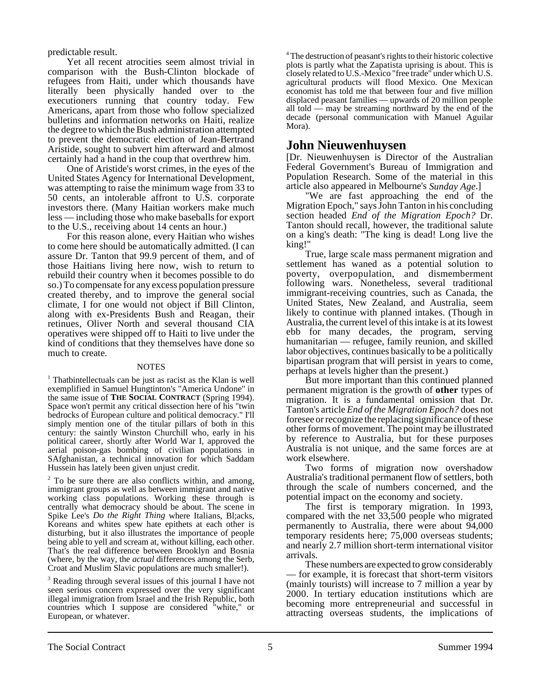predictable result.

Yet all recent atrocities seem almost trivial in comparison with the Bush-Clinton blockade of refugees from Haiti, under which thousands have literally been physically handed over to the executioners running that country today. Few Americans, apart from those who follow specialized bulletins and information networks on Haiti, realize the degree to which the Bush administration attempted to prevent the democratic election of Jean-Bertrand Aristide, sought to subvert him afterward and almost certainly had a hand in the coup that overthrew him.

One of Aristide's worst crimes, in the eyes of the United States Agency for International Development, was attempting to raise the minimum wage from 33 to 50 cents, an intolerable affront to U.S. corporate investors there. (Many Haitian workers make much less — including those who make baseballs for export to the U.S., receiving about 14 cents an hour.)

For this reason alone, every Haitian who wishes to come here should be automatically admitted. (I can assure Dr. Tanton that 99.9 percent of them, and of those Haitians living here now, wish to return to rebuild their country when it becomes possible to do so.) To compensate for any excess population pressure created thereby, and to improve the general social climate, I for one would not object if Bill Clinton, along with ex-Presidents Bush and Reagan, their retinues, Oliver North and several thousand CIA operatives were shipped off to Haiti to live under the kind of conditions that they themselves have done so much to create.

#### **NOTES**

<sup>1</sup> Thatbintellectuals can be just as racist as the Klan is well exemplified in Samuel Hungtinton's "America Undone" in the same issue of **THE SOCIAL CONTRACT** (Spring 1994). Space won't permit any critical dissection here of his "twin bedrocks of European culture and political democracy." I'll simply mention one of the titular pillars of both in this century: the saintly Winston Churchill who, early in his political career, shortly after World War I, approved the aerial poison-gas bombing of civilian populations in SAfghanistan, a technical innovation for which Saddam Hussein has lately been given unjust credit.

 $2^2$  To be sure there are also conflicts within, and among, immigrant groups as well as between immigrant and native working class populations. Working these through is centrally what democracy should be about. The scene in Spike Lee's *Do the Right Thing* where Italians, Bl;acks, Koreans and whites spew hate epithets at each other is disturbing, but it also illustrates the importance of people being able to yell and scream at, without killing, each other. That's the real difference between Brooklyn and Bosnia (where, by the way, the *actual* differences among the Serb, Croat and Muslim Slavic populations are much smaller!).

<sup>3</sup> Reading through several issues of this journal I have not seen serious concern expressed over the very significant illegal immigration from Israel and the Irish Republic, both countries which I suppose are considered "white," or European, or whatever.

<sup>4</sup> The destruction of peasant's rights to their historic colective plots is partly what the Zapatista uprising is about. This is closely related to U.S.-Mexico "free trade" under which U.S. agricultural products will flood Mexico. One Mexican economist has told me that between four and five million displaced peasant families — upwards of 20 million people all told — may be streaming northward by the end of the decade (personal communication with Manuel Aguilar Mora).

## **John Nieuwenhuysen**

[Dr. Nieuwenhuysen is Director of the Australian Federal Government's Bureau of Immigration and Population Research. Some of the material in this article also appeared in Melbourne's *Sunday Age*.]

"We are fast approaching the end of the Migration Epoch," says John Tanton in his concluding section headed *End of the Migration Epoch?* Dr. Tanton should recall, however, the traditional salute on a king's death: "The king is dead! Long live the king!"

True, large scale mass permanent migration and settlement has waned as a potential solution to poverty, overpopulation, and dismemberment following wars. Nonetheless, several traditional immigrant-receiving countries, such as Canada, the United States, New Zealand, and Australia, seem likely to continue with planned intakes. (Though in Australia, the current level of this intake is at its lowest ebb for many decades, the program, serving humanitarian — refugee, family reunion, and skilled labor objectives, continues basically to be a politically bipartisan program that will persist in years to come, perhaps at levels higher than the present.)

But more important than this continued planned permanent migration is the growth of **other** types of migration. It is a fundamental omission that Dr. Tanton's article *End of the Migration Epoch?* does not foresee or recognize the replacing significance of these other forms of movement. The point may be illustrated by reference to Australia, but for these purposes Australia is not unique, and the same forces are at work elsewhere.

Two forms of migration now overshadow Australia's traditional permanent flow of settlers, both through the scale of numbers concerned, and the potential impact on the economy and society.

The first is temporary migration. In 1993, compared with the net 33,500 people who migrated permanently to Australia, there were about 94,000 temporary residents here; 75,000 overseas students; and nearly 2.7 million short-term international visitor arrivals.

These numbers are expected to grow considerably — for example, it is forecast that short-term visitors (mainly tourists) will increase to 7 million a year by 2000. In tertiary education institutions which are becoming more entrepreneurial and successful in attracting overseas students, the implications of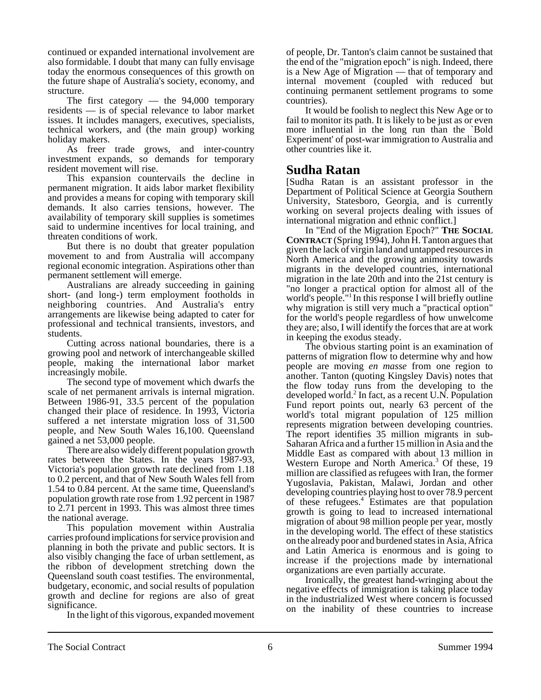continued or expanded international involvement are also formidable. I doubt that many can fully envisage today the enormous consequences of this growth on the future shape of Australia's society, economy, and structure.

The first category — the 94,000 temporary residents — is of special relevance to labor market issues. It includes managers, executives, specialists, technical workers, and (the main group) working holiday makers.

As freer trade grows, and inter-country investment expands, so demands for temporary resident movement will rise.

This expansion countervails the decline in permanent migration. It aids labor market flexibility and provides a means for coping with temporary skill demands. It also carries tensions, however. The availability of temporary skill supplies is sometimes said to undermine incentives for local training, and threaten conditions of work.

But there is no doubt that greater population movement to and from Australia will accompany regional economic integration. Aspirations other than permanent settlement will emerge.

Australians are already succeeding in gaining short- (and long-) term employment footholds in neighboring countries. And Australia's entry arrangements are likewise being adapted to cater for professional and technical transients, investors, and students.

Cutting across national boundaries, there is a growing pool and network of interchangeable skilled people, making the international labor market increasingly mobile.

The second type of movement which dwarfs the scale of net permanent arrivals is internal migration. Between 1986-91, 33.5 percent of the population changed their place of residence. In 1993, Victoria suffered a net interstate migration loss of 31,500 people, and New South Wales 16,100. Queensland gained a net 53,000 people.

There are also widely different population growth rates between the States. In the years 1987-93, Victoria's population growth rate declined from 1.18 to 0.2 percent, and that of New South Wales fell from 1.54 to 0.84 percent. At the same time, Queensland's population growth rate rose from 1.92 percent in 1987 to 2.71 percent in 1993. This was almost three times the national average.

This population movement within Australia carries profound implications for service provision and planning in both the private and public sectors. It is also visibly changing the face of urban settlement, as the ribbon of development stretching down the Queensland south coast testifies. The environmental, budgetary, economic, and social results of population growth and decline for regions are also of great significance.

In the light of this vigorous, expanded movement

of people, Dr. Tanton's claim cannot be sustained that the end of the "migration epoch" is nigh. Indeed, there is a New Age of Migration — that of temporary and internal movement (coupled with reduced but continuing permanent settlement programs to some countries).

It would be foolish to neglect this New Age or to fail to monitor its path. It is likely to be just as or even more influential in the long run than the `Bold Experiment' of post-war immigration to Australia and other countries like it.

## **Sudha Ratan**

[Sudha Ratan is an assistant professor in the Department of Political Science at Georgia Southern University, Statesboro, Georgia, and is currently working on several projects dealing with issues of international migration and ethnic conflict.]

In "End of the Migration Epoch?" **THE SOCIAL CONTRACT** (Spring 1994), John H. Tanton argues that given the lack of virgin land and untapped resources in North America and the growing animosity towards migrants in the developed countries, international migration in the late 20th and into the 21st century is "no longer a practical option for almost all of the world's people."<sup>1</sup> In this response I will briefly outline why migration is still very much a "practical option" for the world's people regardless of how unwelcome they are; also, I will identify the forces that are at work in keeping the exodus steady.

The obvious starting point is an examination of patterns of migration flow to determine why and how people are moving *en masse* from one region to another. Tanton (quoting Kingsley Davis) notes that the flow today runs from the developing to the developed world.<sup>2</sup> In fact, as a recent U.N. Population Fund report points out, nearly 63 percent of the world's total migrant population of 125 million represents migration between developing countries. The report identifies 35 million migrants in sub-Saharan Africa and a further 15 million in Asia and the Middle East as compared with about 13 million in Western Europe and North America.<sup>3</sup> Of these, 19 million are classified as refugees with Iran, the former Yugoslavia, Pakistan, Malawi, Jordan and other developing countries playing host to over 78.9 percent of these refugees.4 Estimates are that population growth is going to lead to increased international migration of about 98 million people per year, mostly in the developing world. The effect of these statistics on the already poor and burdened states in Asia, Africa and Latin America is enormous and is going to increase if the projections made by international organizations are even partially accurate.

Ironically, the greatest hand-wringing about the negative effects of immigration is taking place today in the industrialized West where concern is focussed on the inability of these countries to increase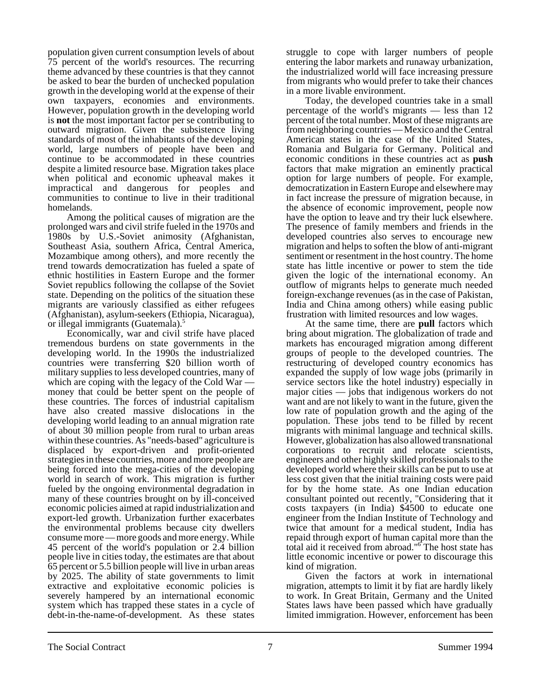population given current consumption levels of about 75 percent of the world's resources. The recurring theme advanced by these countries is that they cannot be asked to bear the burden of unchecked population growth in the developing world at the expense of their own taxpayers, economies and environments. However, population growth in the developing world is **not** the most important factor per se contributing to outward migration. Given the subsistence living standards of most of the inhabitants of the developing world, large numbers of people have been and continue to be accommodated in these countries despite a limited resource base. Migration takes place when political and economic upheaval makes it impractical and dangerous for peoples and communities to continue to live in their traditional homelands.

Among the political causes of migration are the prolonged wars and civil strife fueled in the 1970s and 1980s by U.S.-Soviet animosity (Afghanistan, Southeast Asia, southern Africa, Central America, Mozambique among others), and more recently the trend towards democratization has fueled a spate of ethnic hostilities in Eastern Europe and the former Soviet republics following the collapse of the Soviet state. Depending on the politics of the situation these migrants are variously classified as either refugees (Afghanistan), asylum-seekers (Ethiopia, Nicaragua), or illegal immigrants (Guatemala).<sup>5</sup>

Economically, war and civil strife have placed tremendous burdens on state governments in the developing world. In the 1990s the industrialized countries were transferring \$20 billion worth of military supplies to less developed countries, many of which are coping with the legacy of the Cold War — money that could be better spent on the people of these countries. The forces of industrial capitalism have also created massive dislocations in the developing world leading to an annual migration rate of about 30 million people from rural to urban areas within these countries. As "needs-based" agriculture is displaced by export-driven and profit-oriented strategies in these countries, more and more people are being forced into the mega-cities of the developing world in search of work. This migration is further fueled by the ongoing environmental degradation in many of these countries brought on by ill-conceived economic policies aimed at rapid industrialization and export-led growth. Urbanization further exacerbates the environmental problems because city dwellers consume more — more goods and more energy. While 45 percent of the world's population or 2.4 billion people live in cities today, the estimates are that about 65 percent or 5.5 billion people will live in urban areas by 2025. The ability of state governments to limit extractive and exploitative economic policies is severely hampered by an international economic system which has trapped these states in a cycle of debt-in-the-name-of-development. As these states struggle to cope with larger numbers of people entering the labor markets and runaway urbanization, the industrialized world will face increasing pressure from migrants who would prefer to take their chances in a more livable environment.

Today, the developed countries take in a small percentage of the world's migrants — less than 12 percent of the total number. Most of these migrants are from neighboring countries — Mexico and the Central American states in the case of the United States, Romania and Bulgaria for Germany. Political and economic conditions in these countries act as **push** factors that make migration an eminently practical option for large numbers of people. For example, democratization in Eastern Europe and elsewhere may in fact increase the pressure of migration because, in the absence of economic improvement, people now have the option to leave and try their luck elsewhere. The presence of family members and friends in the developed countries also serves to encourage new migration and helps to soften the blow of anti-migrant sentiment or resentment in the host country. The home state has little incentive or power to stem the tide given the logic of the international economy. An outflow of migrants helps to generate much needed foreign-exchange revenues (as in the case of Pakistan, India and China among others) while easing public frustration with limited resources and low wages.

At the same time, there are **pull** factors which bring about migration. The globalization of trade and markets has encouraged migration among different groups of people to the developed countries. The restructuring of developed country economics has expanded the supply of low wage jobs (primarily in service sectors like the hotel industry) especially in major cities — jobs that indigenous workers do not want and are not likely to want in the future, given the low rate of population growth and the aging of the population. These jobs tend to be filled by recent migrants with minimal language and technical skills. However, globalization has also allowed transnational corporations to recruit and relocate scientists, engineers and other highly skilled professionals to the developed world where their skills can be put to use at less cost given that the initial training costs were paid for by the home state. As one Indian education consultant pointed out recently, "Considering that it costs taxpayers (in India) \$4500 to educate one engineer from the Indian Institute of Technology and twice that amount for a medical student, India has repaid through export of human capital more than the total aid it received from abroad."<sup>6</sup> The host state has little economic incentive or power to discourage this kind of migration.

Given the factors at work in international migration, attempts to limit it by fiat are hardly likely to work. In Great Britain, Germany and the United States laws have been passed which have gradually limited immigration. However, enforcement has been